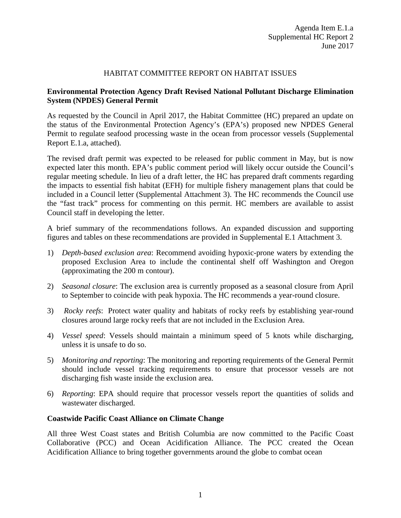### HABITAT COMMITTEE REPORT ON HABITAT ISSUES

### **Environmental Protection Agency Draft Revised National Pollutant Discharge Elimination System (NPDES) General Permit**

As requested by the Council in April 2017, the Habitat Committee (HC) prepared an update on the status of the Environmental Protection Agency's (EPA's) proposed new NPDES General Permit to regulate seafood processing waste in the ocean from processor vessels (Supplemental Report E.1.a, attached).

The revised draft permit was expected to be released for public comment in May, but is now expected later this month. EPA's public comment period will likely occur outside the Council's regular meeting schedule. In lieu of a draft letter, the HC has prepared draft comments regarding the impacts to essential fish habitat (EFH) for multiple fishery management plans that could be included in a Council letter (Supplemental Attachment 3). The HC recommends the Council use the "fast track" process for commenting on this permit. HC members are available to assist Council staff in developing the letter.

A brief summary of the recommendations follows. An expanded discussion and supporting figures and tables on these recommendations are provided in Supplemental E.1 Attachment 3.

- 1) *Depth-based exclusion area*: Recommend avoiding hypoxic-prone waters by extending the proposed Exclusion Area to include the continental shelf off Washington and Oregon (approximating the 200 m contour).
- 2) *Seasonal closure*: The exclusion area is currently proposed as a seasonal closure from April to September to coincide with peak hypoxia. The HC recommends a year-round closure.
- 3) *Rocky reefs*: Protect water quality and habitats of rocky reefs by establishing year-round closures around large rocky reefs that are not included in the Exclusion Area.
- 4) *Vessel speed*: Vessels should maintain a minimum speed of 5 knots while discharging, unless it is unsafe to do so.
- 5) *Monitoring and reporting*: The monitoring and reporting requirements of the General Permit should include vessel tracking requirements to ensure that processor vessels are not discharging fish waste inside the exclusion area.
- 6) *Reporting*: EPA should require that processor vessels report the quantities of solids and wastewater discharged.

### **Coastwide Pacific Coast Alliance on Climate Change**

All three West Coast states and British Columbia are now committed to the Pacific Coast Collaborative (PCC) and Ocean Acidification Alliance. The PCC created the Ocean Acidification Alliance to bring together governments around the globe to combat ocean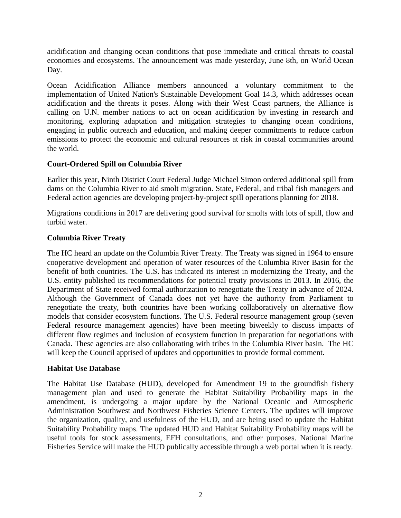acidification and changing ocean conditions that pose immediate and critical threats to coastal economies and ecosystems. The announcement was made yesterday, June 8th, on World Ocean Day.

Ocean Acidification Alliance members announced a voluntary commitment to the implementation of United Nation's Sustainable Development Goal 14.3, which addresses ocean acidification and the threats it poses. Along with their West Coast partners, the Alliance is calling on U.N. member nations to act on ocean acidification by investing in research and monitoring, exploring adaptation and mitigation strategies to changing ocean conditions, engaging in public outreach and education, and making deeper commitments to reduce carbon emissions to protect the economic and cultural resources at risk in coastal communities around the world.

# **Court-Ordered Spill on Columbia River**

Earlier this year, Ninth District Court Federal Judge Michael Simon ordered additional spill from dams on the Columbia River to aid smolt migration. State, Federal, and tribal fish managers and Federal action agencies are developing project-by-project spill operations planning for 2018.

Migrations conditions in 2017 are delivering good survival for smolts with lots of spill, flow and turbid water.

## **Columbia River Treaty**

The HC heard an update on the Columbia River Treaty. The Treaty was signed in 1964 to ensure cooperative development and operation of water resources of the Columbia River Basin for the benefit of both countries. The U.S. has indicated its interest in modernizing the Treaty, and the U.S. entity published its recommendations for potential treaty provisions in 2013. In 2016, the Department of State received formal authorization to renegotiate the Treaty in advance of 2024. Although the Government of Canada does not yet have the authority from Parliament to renegotiate the treaty, both countries have been working collaboratively on alternative flow models that consider ecosystem functions. The U.S. Federal resource management group (seven Federal resource management agencies) have been meeting biweekly to discuss impacts of different flow regimes and inclusion of ecosystem function in preparation for negotiations with Canada. These agencies are also collaborating with tribes in the Columbia River basin. The HC will keep the Council apprised of updates and opportunities to provide formal comment.

### **Habitat Use Database**

The Habitat Use Database (HUD), developed for Amendment 19 to the groundfish fishery management plan and used to generate the Habitat Suitability Probability maps in the amendment, is undergoing a major update by the National Oceanic and Atmospheric Administration Southwest and Northwest Fisheries Science Centers. The updates will improve the organization, quality, and usefulness of the HUD, and are being used to update the Habitat Suitability Probability maps. The updated HUD and Habitat Suitability Probability maps will be useful tools for stock assessments, EFH consultations, and other purposes. National Marine Fisheries Service will make the HUD publically accessible through a web portal when it is ready.